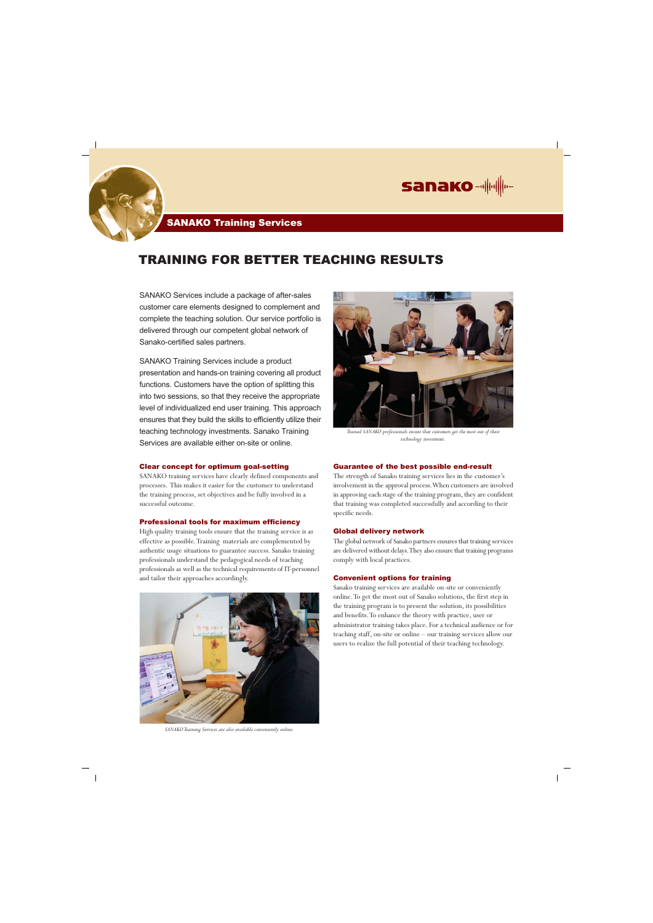SANAKO Services include a package of after-sales customer care elements designed to complement and complete the teaching solution. Our service portfolio is delivered through our competent global network of Sanako-certified sales partners.

SANAKO Training Services include a product presentation and hands-on training covering all product functions. Customers have the option of splitting this into two sessions, so that they receive the appropriate level of individualized end user training. This approach ensures that they build the skills to efficiently utilize their teaching technology investments. Sanako Training Services are available either on-site or online.

## TRAINING FOR BETTER TEACHING RESULTS



### Clear concept for optimum goal-setting

SANAKO training services have clearly defined components and processes. This makes it easier for the customer to understand the training process, set objectives and be fully involved in a successful outcome.

### Professional tools for maximum efficiency

High quality training tools ensure that the training service is as effective as possible. Training materials are complemented by authentic usage situations to guarantee success. Sanako training professionals understand the pedagogical needs of teaching professionals as well as the technical requirements of IT-personnel and tailor their approaches accordingly.



### Guarantee of the best possible end-result

The strength of Sanako training services lies in the customer's involvement in the approval process. When customers are involved in approving each stage of the training program, they are confident that training was completed successfully and according to their specific needs.

#### Global delivery network

The global network of Sanako partners ensures that training services are delivered without delays. They also ensure that training programs comply with local practices.

#### Convenient options for training

Sanako training services are available on-site or conveniently online. To get the most out of Sanako solutions, the first step in the training program is to present the solution, its possibilities and benefits. To enhance the theory with practice, user or administrator training takes place. For a technical audience or for teaching staff, on-site or online – our training services allow our users to realize the full potential of their teaching technology.



*SANAKO Training Services are also available conveniently online.*

 $\sim$  1



*Trained SANAKO professionals ensure that customers get the most out of their technology investment.*